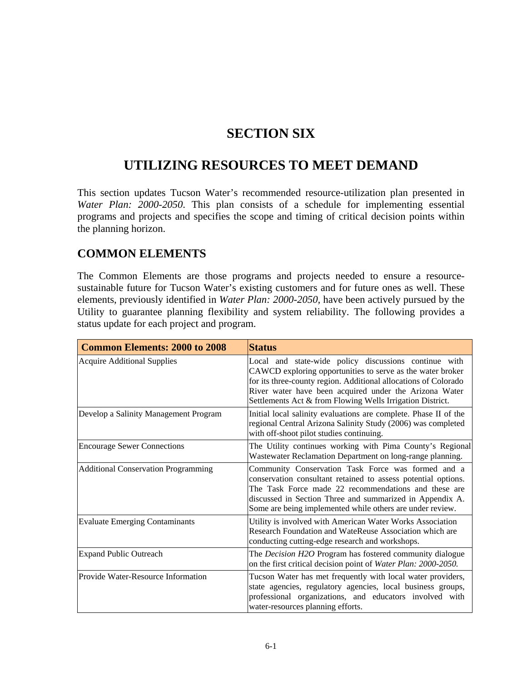## **SECTION SIX**

# **UTILIZING RESOURCES TO MEET DEMAND**

This section updates Tucson Water's recommended resource-utilization plan presented in *Water Plan: 2000-2050*. This plan consists of a schedule for implementing essential programs and projects and specifies the scope and timing of critical decision points within the planning horizon.

#### **COMMON ELEMENTS**

The Common Elements are those programs and projects needed to ensure a resourcesustainable future for Tucson Water's existing customers and for future ones as well. These elements, previously identified in *Water Plan: 2000-2050,* have been actively pursued by the Utility to guarantee planning flexibility and system reliability. The following provides a status update for each project and program.

| <b>Common Elements: 2000 to 2008</b>       | <b>Status</b>                                                                                                                                                                                                                                                                                                 |
|--------------------------------------------|---------------------------------------------------------------------------------------------------------------------------------------------------------------------------------------------------------------------------------------------------------------------------------------------------------------|
| <b>Acquire Additional Supplies</b>         | Local and state-wide policy discussions continue with<br>CAWCD exploring opportunities to serve as the water broker<br>for its three-county region. Additional allocations of Colorado<br>River water have been acquired under the Arizona Water<br>Settlements Act & from Flowing Wells Irrigation District. |
| Develop a Salinity Management Program      | Initial local salinity evaluations are complete. Phase II of the<br>regional Central Arizona Salinity Study (2006) was completed<br>with off-shoot pilot studies continuing.                                                                                                                                  |
| <b>Encourage Sewer Connections</b>         | The Utility continues working with Pima County's Regional<br>Wastewater Reclamation Department on long-range planning.                                                                                                                                                                                        |
| <b>Additional Conservation Programming</b> | Community Conservation Task Force was formed and a<br>conservation consultant retained to assess potential options.<br>The Task Force made 22 recommendations and these are<br>discussed in Section Three and summarized in Appendix A.<br>Some are being implemented while others are under review.          |
| <b>Evaluate Emerging Contaminants</b>      | Utility is involved with American Water Works Association<br>Research Foundation and WateReuse Association which are<br>conducting cutting-edge research and workshops.                                                                                                                                       |
| <b>Expand Public Outreach</b>              | The Decision H2O Program has fostered community dialogue<br>on the first critical decision point of Water Plan: 2000-2050.                                                                                                                                                                                    |
| Provide Water-Resource Information         | Tucson Water has met frequently with local water providers,<br>state agencies, regulatory agencies, local business groups,<br>professional organizations, and educators involved with<br>water-resources planning efforts.                                                                                    |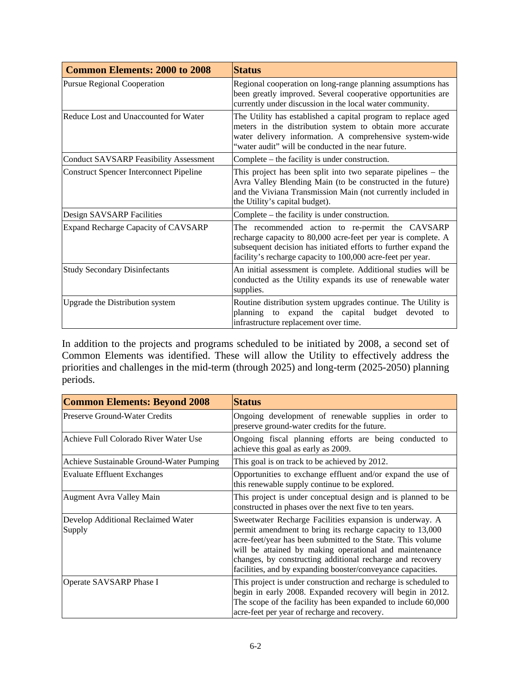| <b>Common Elements: 2000 to 2008</b>           | <b>Status</b>                                                                                                                                                                                                                                      |  |
|------------------------------------------------|----------------------------------------------------------------------------------------------------------------------------------------------------------------------------------------------------------------------------------------------------|--|
| <b>Pursue Regional Cooperation</b>             | Regional cooperation on long-range planning assumptions has<br>been greatly improved. Several cooperative opportunities are<br>currently under discussion in the local water community.                                                            |  |
| Reduce Lost and Unaccounted for Water          | The Utility has established a capital program to replace aged<br>meters in the distribution system to obtain more accurate<br>water delivery information. A comprehensive system-wide<br>"water audit" will be conducted in the near future.       |  |
| <b>Conduct SAVSARP Feasibility Assessment</b>  | Complete – the facility is under construction.                                                                                                                                                                                                     |  |
| <b>Construct Spencer Interconnect Pipeline</b> | This project has been split into two separate pipelines – the<br>Avra Valley Blending Main (to be constructed in the future)<br>and the Viviana Transmission Main (not currently included in<br>the Utility's capital budget).                     |  |
| Design SAVSARP Facilities                      | Complete – the facility is under construction.                                                                                                                                                                                                     |  |
| <b>Expand Recharge Capacity of CAVSARP</b>     | The recommended action to re-permit the CAVSARP<br>recharge capacity to 80,000 acre-feet per year is complete. A<br>subsequent decision has initiated efforts to further expand the<br>facility's recharge capacity to 100,000 acre-feet per year. |  |
| <b>Study Secondary Disinfectants</b>           | An initial assessment is complete. Additional studies will be<br>conducted as the Utility expands its use of renewable water<br>supplies.                                                                                                          |  |
| Upgrade the Distribution system                | Routine distribution system upgrades continue. The Utility is<br>expand the capital<br>budget<br>planning<br>devoted<br>to<br>to<br>infrastructure replacement over time.                                                                          |  |

In addition to the projects and programs scheduled to be initiated by 2008, a second set of Common Elements was identified. These will allow the Utility to effectively address the priorities and challenges in the mid-term (through 2025) and long-term (2025-2050) planning periods.

| <b>Common Elements: Beyond 2008</b>          | <b>Status</b>                                                                                                                                                                                                                                                                                                                                                             |  |
|----------------------------------------------|---------------------------------------------------------------------------------------------------------------------------------------------------------------------------------------------------------------------------------------------------------------------------------------------------------------------------------------------------------------------------|--|
| Preserve Ground-Water Credits                | Ongoing development of renewable supplies in order to<br>preserve ground-water credits for the future.                                                                                                                                                                                                                                                                    |  |
| Achieve Full Colorado River Water Use        | Ongoing fiscal planning efforts are being conducted to<br>achieve this goal as early as 2009.                                                                                                                                                                                                                                                                             |  |
| Achieve Sustainable Ground-Water Pumping     | This goal is on track to be achieved by 2012.                                                                                                                                                                                                                                                                                                                             |  |
| <b>Evaluate Effluent Exchanges</b>           | Opportunities to exchange effluent and/or expand the use of<br>this renewable supply continue to be explored.                                                                                                                                                                                                                                                             |  |
| <b>Augment Avra Valley Main</b>              | This project is under conceptual design and is planned to be<br>constructed in phases over the next five to ten years.                                                                                                                                                                                                                                                    |  |
| Develop Additional Reclaimed Water<br>Supply | Sweetwater Recharge Facilities expansion is underway. A<br>permit amendment to bring its recharge capacity to 13,000<br>acre-feet/year has been submitted to the State. This volume<br>will be attained by making operational and maintenance<br>changes, by constructing additional recharge and recovery<br>facilities, and by expanding booster/conveyance capacities. |  |
| Operate SAVSARP Phase I                      | This project is under construction and recharge is scheduled to<br>begin in early 2008. Expanded recovery will begin in 2012.<br>The scope of the facility has been expanded to include 60,000<br>acre-feet per year of recharge and recovery.                                                                                                                            |  |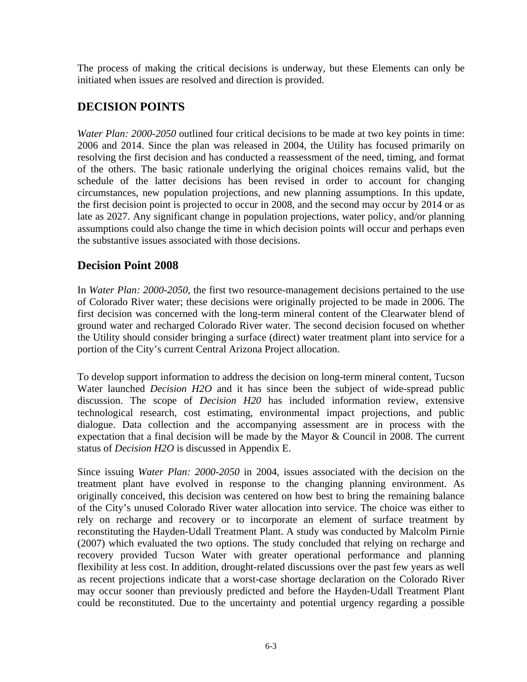The process of making the critical decisions is underway, but these Elements can only be initiated when issues are resolved and direction is provided.

#### **DECISION POINTS**

*Water Plan: 2000-2050* outlined four critical decisions to be made at two key points in time: 2006 and 2014. Since the plan was released in 2004, the Utility has focused primarily on resolving the first decision and has conducted a reassessment of the need, timing, and format of the others. The basic rationale underlying the original choices remains valid, but the schedule of the latter decisions has been revised in order to account for changing circumstances, new population projections, and new planning assumptions. In this update, the first decision point is projected to occur in 2008, and the second may occur by 2014 or as late as 2027. Any significant change in population projections, water policy, and/or planning assumptions could also change the time in which decision points will occur and perhaps even the substantive issues associated with those decisions.

#### **Decision Point 2008**

In *Water Plan: 2000-2050*, the first two resource-management decisions pertained to the use of Colorado River water; these decisions were originally projected to be made in 2006. The first decision was concerned with the long-term mineral content of the Clearwater blend of ground water and recharged Colorado River water. The second decision focused on whether the Utility should consider bringing a surface (direct) water treatment plant into service for a portion of the City's current Central Arizona Project allocation.

To develop support information to address the decision on long-term mineral content, Tucson Water launched *Decision H2O* and it has since been the subject of wide-spread public discussion. The scope of *Decision H20* has included information review, extensive technological research, cost estimating, environmental impact projections, and public dialogue. Data collection and the accompanying assessment are in process with the expectation that a final decision will be made by the Mayor & Council in 2008. The current status of *Decision H2O* is discussed in Appendix E.

Since issuing *Water Plan: 2000-2050* in 2004, issues associated with the decision on the treatment plant have evolved in response to the changing planning environment. As originally conceived, this decision was centered on how best to bring the remaining balance of the City's unused Colorado River water allocation into service. The choice was either to rely on recharge and recovery or to incorporate an element of surface treatment by reconstituting the Hayden-Udall Treatment Plant. A study was conducted by Malcolm Pirnie (2007) which evaluated the two options. The study concluded that relying on recharge and recovery provided Tucson Water with greater operational performance and planning flexibility at less cost. In addition, drought-related discussions over the past few years as well as recent projections indicate that a worst-case shortage declaration on the Colorado River may occur sooner than previously predicted and before the Hayden-Udall Treatment Plant could be reconstituted. Due to the uncertainty and potential urgency regarding a possible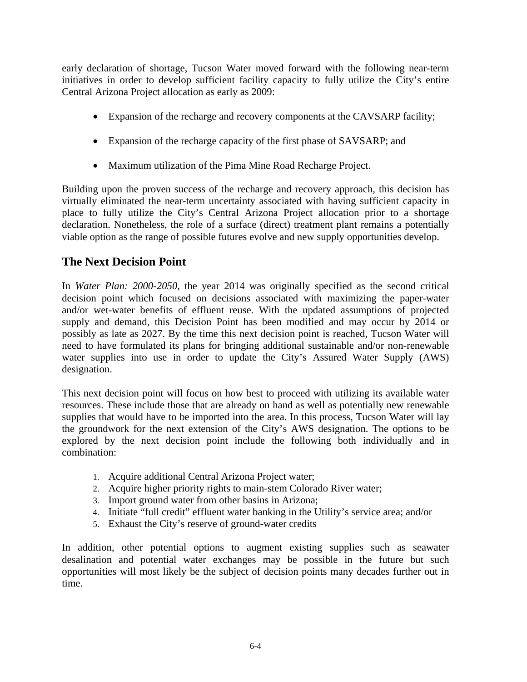early declaration of shortage, Tucson Water moved forward with the following near-term initiatives in order to develop sufficient facility capacity to fully utilize the City's entire Central Arizona Project allocation as early as 2009:

- Expansion of the recharge and recovery components at the CAVSARP facility;
- Expansion of the recharge capacity of the first phase of SAVSARP; and
- Maximum utilization of the Pima Mine Road Recharge Project.

Building upon the proven success of the recharge and recovery approach, this decision has virtually eliminated the near-term uncertainty associated with having sufficient capacity in place to fully utilize the City's Central Arizona Project allocation prior to a shortage declaration. Nonetheless, the role of a surface (direct) treatment plant remains a potentially viable option as the range of possible futures evolve and new supply opportunities develop.

#### **The Next Decision Point**

In *Water Plan: 2000-2050*, the year 2014 was originally specified as the second critical decision point which focused on decisions associated with maximizing the paper-water and/or wet-water benefits of effluent reuse. With the updated assumptions of projected supply and demand, this Decision Point has been modified and may occur by 2014 or possibly as late as 2027. By the time this next decision point is reached, Tucson Water will need to have formulated its plans for bringing additional sustainable and/or non-renewable water supplies into use in order to update the City's Assured Water Supply (AWS) designation.

This next decision point will focus on how best to proceed with utilizing its available water resources. These include those that are already on hand as well as potentially new renewable supplies that would have to be imported into the area. In this process, Tucson Water will lay the groundwork for the next extension of the City's AWS designation. The options to be explored by the next decision point include the following both individually and in combination:

- 1. Acquire additional Central Arizona Project water;
- 2. Acquire higher priority rights to main-stem Colorado River water;
- 3. Import ground water from other basins in Arizona;
- 4. Initiate "full credit" effluent water banking in the Utility's service area; and/or
- 5. Exhaust the City's reserve of ground-water credits

In addition, other potential options to augment existing supplies such as seawater desalination and potential water exchanges may be possible in the future but such opportunities will most likely be the subject of decision points many decades further out in time.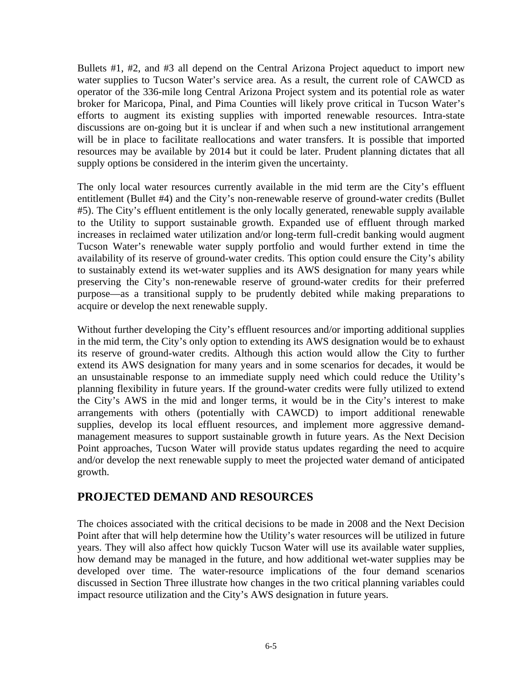Bullets #1, #2, and #3 all depend on the Central Arizona Project aqueduct to import new water supplies to Tucson Water's service area. As a result, the current role of CAWCD as operator of the 336-mile long Central Arizona Project system and its potential role as water broker for Maricopa, Pinal, and Pima Counties will likely prove critical in Tucson Water's efforts to augment its existing supplies with imported renewable resources. Intra-state discussions are on-going but it is unclear if and when such a new institutional arrangement will be in place to facilitate reallocations and water transfers. It is possible that imported resources may be available by 2014 but it could be later. Prudent planning dictates that all supply options be considered in the interim given the uncertainty.

The only local water resources currently available in the mid term are the City's effluent entitlement (Bullet #4) and the City's non-renewable reserve of ground-water credits (Bullet #5). The City's effluent entitlement is the only locally generated, renewable supply available to the Utility to support sustainable growth. Expanded use of effluent through marked increases in reclaimed water utilization and/or long-term full-credit banking would augment Tucson Water's renewable water supply portfolio and would further extend in time the availability of its reserve of ground-water credits. This option could ensure the City's ability to sustainably extend its wet-water supplies and its AWS designation for many years while preserving the City's non-renewable reserve of ground-water credits for their preferred purpose—as a transitional supply to be prudently debited while making preparations to acquire or develop the next renewable supply.

Without further developing the City's effluent resources and/or importing additional supplies in the mid term, the City's only option to extending its AWS designation would be to exhaust its reserve of ground-water credits. Although this action would allow the City to further extend its AWS designation for many years and in some scenarios for decades, it would be an unsustainable response to an immediate supply need which could reduce the Utility's planning flexibility in future years. If the ground-water credits were fully utilized to extend the City's AWS in the mid and longer terms, it would be in the City's interest to make arrangements with others (potentially with CAWCD) to import additional renewable supplies, develop its local effluent resources, and implement more aggressive demandmanagement measures to support sustainable growth in future years. As the Next Decision Point approaches, Tucson Water will provide status updates regarding the need to acquire and/or develop the next renewable supply to meet the projected water demand of anticipated growth.

#### **PROJECTED DEMAND AND RESOURCES**

The choices associated with the critical decisions to be made in 2008 and the Next Decision Point after that will help determine how the Utility's water resources will be utilized in future years. They will also affect how quickly Tucson Water will use its available water supplies, how demand may be managed in the future, and how additional wet-water supplies may be developed over time. The water-resource implications of the four demand scenarios discussed in Section Three illustrate how changes in the two critical planning variables could impact resource utilization and the City's AWS designation in future years.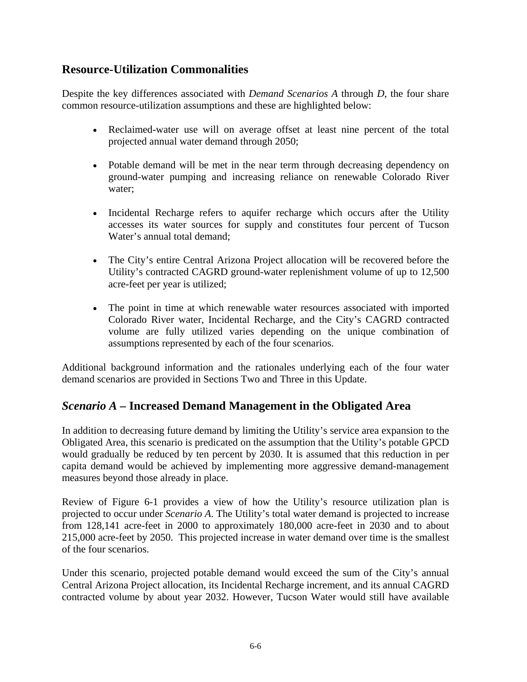#### **Resource-Utilization Commonalities**

Despite the key differences associated with *Demand Scenarios A* through *D*, the four share common resource-utilization assumptions and these are highlighted below:

- Reclaimed-water use will on average offset at least nine percent of the total projected annual water demand through 2050;
- Potable demand will be met in the near term through decreasing dependency on ground-water pumping and increasing reliance on renewable Colorado River water;
- Incidental Recharge refers to aquifer recharge which occurs after the Utility accesses its water sources for supply and constitutes four percent of Tucson Water's annual total demand;
- The City's entire Central Arizona Project allocation will be recovered before the Utility's contracted CAGRD ground-water replenishment volume of up to 12,500 acre-feet per year is utilized;
- The point in time at which renewable water resources associated with imported Colorado River water, Incidental Recharge, and the City's CAGRD contracted volume are fully utilized varies depending on the unique combination of assumptions represented by each of the four scenarios.

Additional background information and the rationales underlying each of the four water demand scenarios are provided in Sections Two and Three in this Update.

### *Scenario A –* **Increased Demand Management in the Obligated Area**

In addition to decreasing future demand by limiting the Utility's service area expansion to the Obligated Area, this scenario is predicated on the assumption that the Utility's potable GPCD would gradually be reduced by ten percent by 2030. It is assumed that this reduction in per capita demand would be achieved by implementing more aggressive demand-management measures beyond those already in place.

Review of Figure 6-1 provides a view of how the Utility's resource utilization plan is projected to occur under *Scenario A*. The Utility's total water demand is projected to increase from 128,141 acre-feet in 2000 to approximately 180,000 acre-feet in 2030 and to about 215,000 acre-feet by 2050. This projected increase in water demand over time is the smallest of the four scenarios.

Under this scenario, projected potable demand would exceed the sum of the City's annual Central Arizona Project allocation, its Incidental Recharge increment, and its annual CAGRD contracted volume by about year 2032. However, Tucson Water would still have available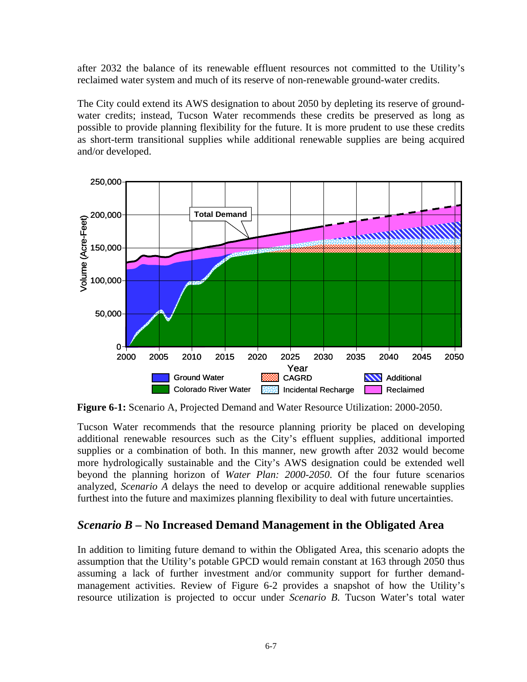after 2032 the balance of its renewable effluent resources not committed to the Utility's reclaimed water system and much of its reserve of non-renewable ground-water credits.

The City could extend its AWS designation to about 2050 by depleting its reserve of groundwater credits; instead, Tucson Water recommends these credits be preserved as long as possible to provide planning flexibility for the future. It is more prudent to use these credits as short-term transitional supplies while additional renewable supplies are being acquired and/or developed.



**Figure 6-1:** Scenario A, Projected Demand and Water Resource Utilization: 2000-2050.

Tucson Water recommends that the resource planning priority be placed on developing additional renewable resources such as the City's effluent supplies, additional imported supplies or a combination of both. In this manner, new growth after 2032 would become more hydrologically sustainable and the City's AWS designation could be extended well beyond the planning horizon of *Water Plan: 2000-2050*. Of the four future scenarios analyzed, *Scenario A* delays the need to develop or acquire additional renewable supplies furthest into the future and maximizes planning flexibility to deal with future uncertainties.

#### *Scenario B –* **No Increased Demand Management in the Obligated Area**

In addition to limiting future demand to within the Obligated Area, this scenario adopts the assumption that the Utility's potable GPCD would remain constant at 163 through 2050 thus assuming a lack of further investment and/or community support for further demandmanagement activities. Review of Figure 6-2 provides a snapshot of how the Utility's resource utilization is projected to occur under *Scenario B*. Tucson Water's total water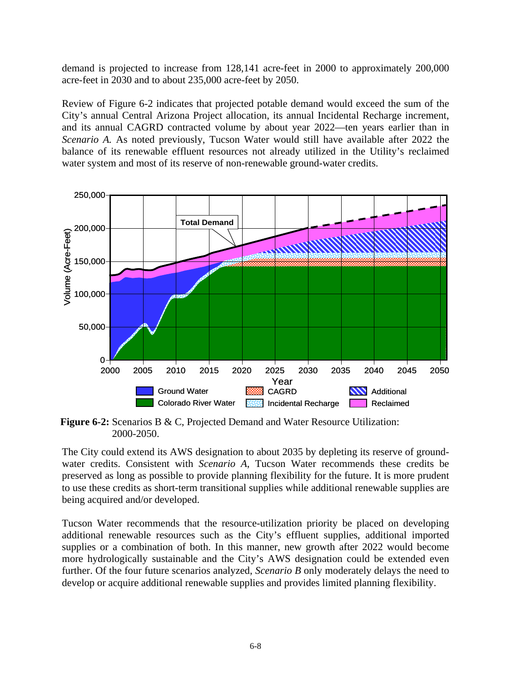demand is projected to increase from 128,141 acre-feet in 2000 to approximately 200,000 acre-feet in 2030 and to about 235,000 acre-feet by 2050.

Review of Figure 6-2 indicates that projected potable demand would exceed the sum of the City's annual Central Arizona Project allocation, its annual Incidental Recharge increment, and its annual CAGRD contracted volume by about year 2022—ten years earlier than in *Scenario A.* As noted previously, Tucson Water would still have available after 2022 the balance of its renewable effluent resources not already utilized in the Utility's reclaimed water system and most of its reserve of non-renewable ground-water credits.



**Figure 6-2:** Scenarios B & C, Projected Demand and Water Resource Utilization: 2000-2050.

The City could extend its AWS designation to about 2035 by depleting its reserve of groundwater credits. Consistent with *Scenario A*, Tucson Water recommends these credits be preserved as long as possible to provide planning flexibility for the future. It is more prudent to use these credits as short-term transitional supplies while additional renewable supplies are being acquired and/or developed.

Tucson Water recommends that the resource-utilization priority be placed on developing additional renewable resources such as the City's effluent supplies, additional imported supplies or a combination of both. In this manner, new growth after 2022 would become more hydrologically sustainable and the City's AWS designation could be extended even further. Of the four future scenarios analyzed, *Scenario B* only moderately delays the need to develop or acquire additional renewable supplies and provides limited planning flexibility.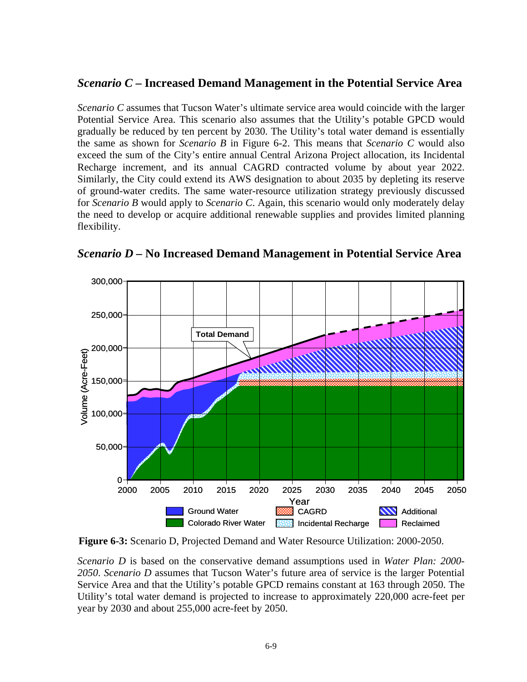#### *Scenario C* **– Increased Demand Management in the Potential Service Area**

*Scenario C* assumes that Tucson Water's ultimate service area would coincide with the larger Potential Service Area. This scenario also assumes that the Utility's potable GPCD would gradually be reduced by ten percent by 2030. The Utility's total water demand is essentially the same as shown for *Scenario B* in Figure 6-2. This means that *Scenario C* would also exceed the sum of the City's entire annual Central Arizona Project allocation, its Incidental Recharge increment, and its annual CAGRD contracted volume by about year 2022. Similarly, the City could extend its AWS designation to about 2035 by depleting its reserve of ground-water credits. The same water-resource utilization strategy previously discussed for *Scenario B* would apply to *Scenario C*. Again, this scenario would only moderately delay the need to develop or acquire additional renewable supplies and provides limited planning flexibility.



*Scenario D –* **No Increased Demand Management in Potential Service Area** 

**Figure 6-3:** Scenario D, Projected Demand and Water Resource Utilization: 2000-2050.

*Scenario D* is based on the conservative demand assumptions used in *Water Plan: 2000- 2050*. *Scenario D* assumes that Tucson Water's future area of service is the larger Potential Service Area and that the Utility's potable GPCD remains constant at 163 through 2050. The Utility's total water demand is projected to increase to approximately 220,000 acre-feet per year by 2030 and about 255,000 acre-feet by 2050.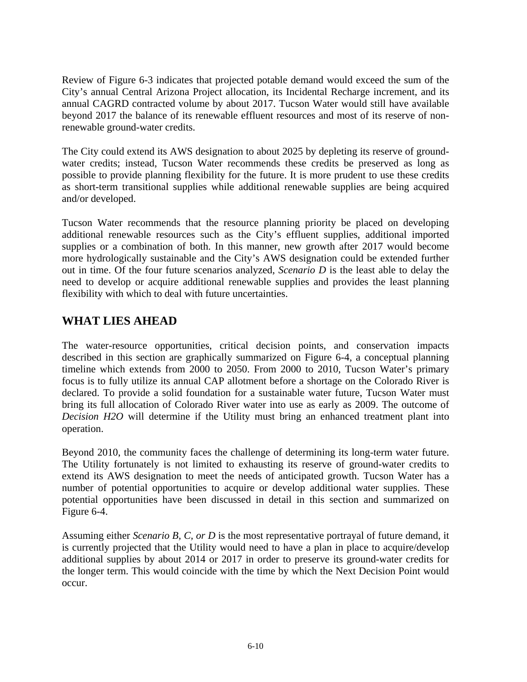Review of Figure 6-3 indicates that projected potable demand would exceed the sum of the City's annual Central Arizona Project allocation, its Incidental Recharge increment, and its annual CAGRD contracted volume by about 2017. Tucson Water would still have available beyond 2017 the balance of its renewable effluent resources and most of its reserve of nonrenewable ground-water credits.

The City could extend its AWS designation to about 2025 by depleting its reserve of groundwater credits; instead, Tucson Water recommends these credits be preserved as long as possible to provide planning flexibility for the future. It is more prudent to use these credits as short-term transitional supplies while additional renewable supplies are being acquired and/or developed.

Tucson Water recommends that the resource planning priority be placed on developing additional renewable resources such as the City's effluent supplies, additional imported supplies or a combination of both. In this manner, new growth after 2017 would become more hydrologically sustainable and the City's AWS designation could be extended further out in time. Of the four future scenarios analyzed, *Scenario D* is the least able to delay the need to develop or acquire additional renewable supplies and provides the least planning flexibility with which to deal with future uncertainties.

### **WHAT LIES AHEAD**

The water-resource opportunities, critical decision points, and conservation impacts described in this section are graphically summarized on Figure 6-4, a conceptual planning timeline which extends from 2000 to 2050. From 2000 to 2010, Tucson Water's primary focus is to fully utilize its annual CAP allotment before a shortage on the Colorado River is declared. To provide a solid foundation for a sustainable water future, Tucson Water must bring its full allocation of Colorado River water into use as early as 2009. The outcome of *Decision H2O* will determine if the Utility must bring an enhanced treatment plant into operation.

Beyond 2010, the community faces the challenge of determining its long-term water future. The Utility fortunately is not limited to exhausting its reserve of ground-water credits to extend its AWS designation to meet the needs of anticipated growth. Tucson Water has a number of potential opportunities to acquire or develop additional water supplies. These potential opportunities have been discussed in detail in this section and summarized on Figure 6-4.

Assuming either *Scenario B, C, or D* is the most representative portrayal of future demand, it is currently projected that the Utility would need to have a plan in place to acquire/develop additional supplies by about 2014 or 2017 in order to preserve its ground-water credits for the longer term. This would coincide with the time by which the Next Decision Point would occur.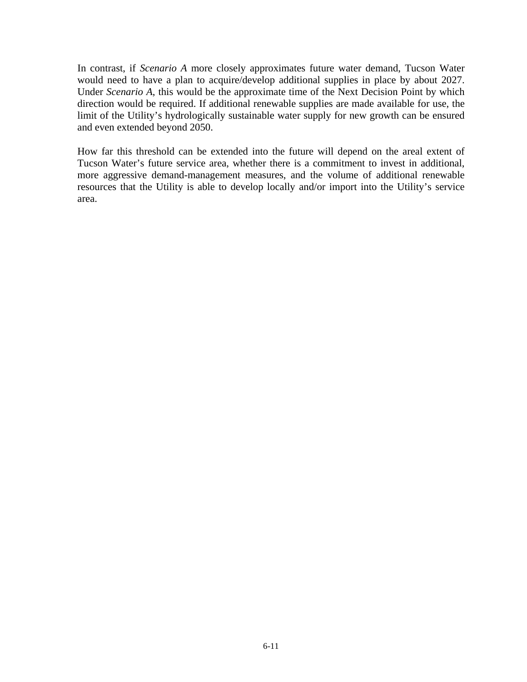In contrast, if *Scenario A* more closely approximates future water demand, Tucson Water would need to have a plan to acquire/develop additional supplies in place by about 2027. Under *Scenario A*, this would be the approximate time of the Next Decision Point by which direction would be required. If additional renewable supplies are made available for use, the limit of the Utility's hydrologically sustainable water supply for new growth can be ensured and even extended beyond 2050.

How far this threshold can be extended into the future will depend on the areal extent of Tucson Water's future service area, whether there is a commitment to invest in additional, more aggressive demand-management measures, and the volume of additional renewable resources that the Utility is able to develop locally and/or import into the Utility's service area.